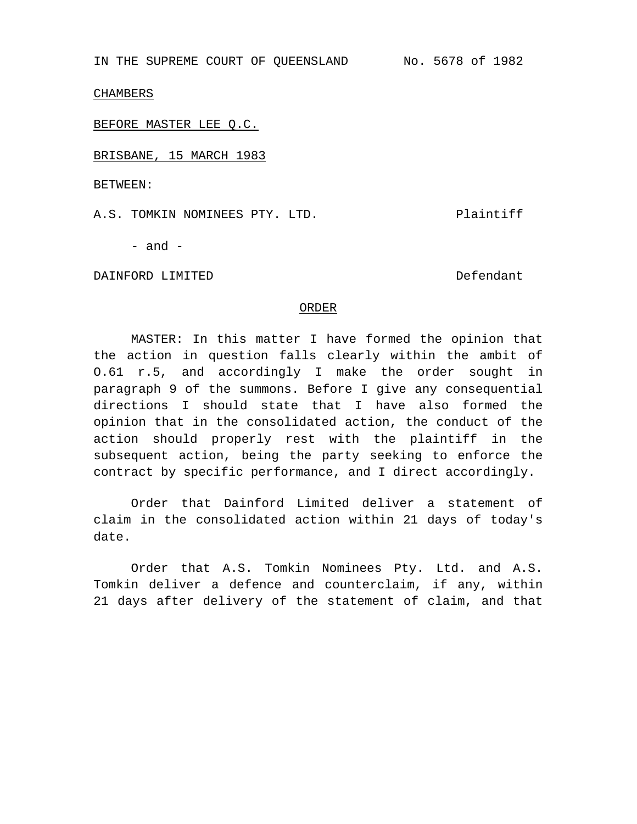IN THE SUPREME COURT OF QUEENSLAND No. 5678 of 1982

CHAMBERS

BEFORE MASTER LEE Q.C.

BRISBANE, 15 MARCH 1983

BETWEEN:

A.S. TOMKIN NOMINEES PTY. LTD. THE Plaintiff

- and -

DAINFORD LIMITED DESCRIPTION OF DEFENDANCE DELANDING DEFENDANCE DELANDING DEFENDANCE DELANDER DELANDER DELAND

## ORDER

MASTER: In this matter I have formed the opinion that the action in question falls clearly within the ambit of O.61 r.5, and accordingly I make the order sought in paragraph 9 of the summons. Before I give any consequential directions I should state that I have also formed the opinion that in the consolidated action, the conduct of the action should properly rest with the plaintiff in the subsequent action, being the party seeking to enforce the contract by specific performance, and I direct accordingly.

Order that Dainford Limited deliver a statement of claim in the consolidated action within 21 days of today's date.

Order that A.S. Tomkin Nominees Pty. Ltd. and A.S. Tomkin deliver a defence and counterclaim, if any, within 21 days after delivery of the statement of claim, and that